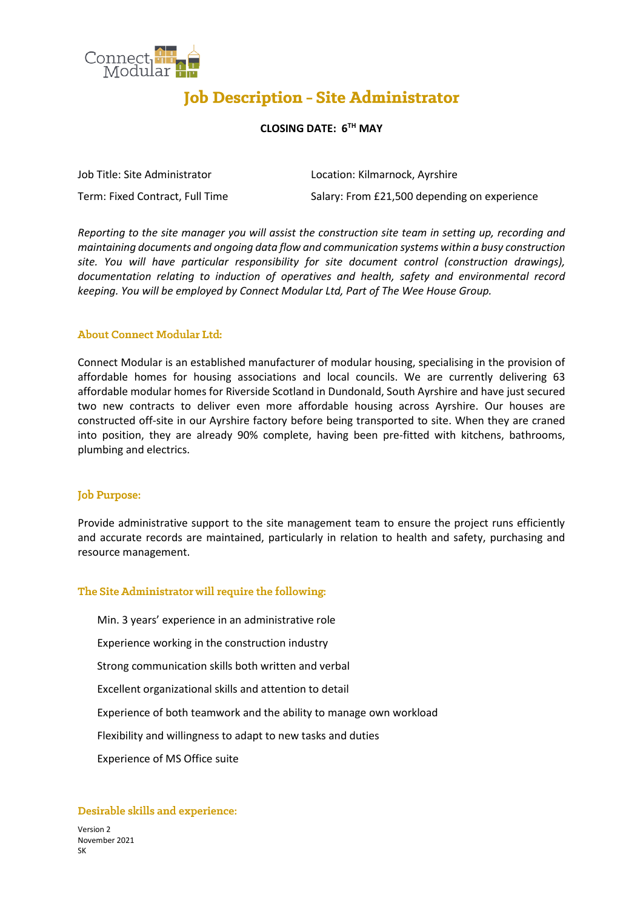

# **Job Description - Site Administrator**

# **CLOSING DATE: 6 TH MAY**

| Job Title: Site Administrator   | Location: Kilmarnock, Ayrshire               |
|---------------------------------|----------------------------------------------|
| Term: Fixed Contract, Full Time | Salary: From £21,500 depending on experience |

*Reporting to the site manager you will assist the construction site team in setting up, recording and maintaining documents and ongoing data flow and communication systems within a busy construction site. You will have particular responsibility for site document control (construction drawings), documentation relating to induction of operatives and health, safety and environmental record keeping. You will be employed by Connect Modular Ltd, Part of The Wee House Group.*

# **About Connect Modular Ltd:**

Connect Modular is an established manufacturer of modular housing, specialising in the provision of affordable homes for housing associations and local councils. We are currently delivering 63 affordable modular homes for Riverside Scotland in Dundonald, South Ayrshire and have just secured two new contracts to deliver even more affordable housing across Ayrshire. Our houses are constructed off-site in our Ayrshire factory before being transported to site. When they are craned into position, they are already 90% complete, having been pre-fitted with kitchens, bathrooms, plumbing and electrics.

#### **Job Purpose:**

Provide administrative support to the site management team to ensure the project runs efficiently and accurate records are maintained, particularly in relation to health and safety, purchasing and resource management.

#### The Site Administrator will require the following:

Min. 3 years' experience in an administrative role

Experience working in the construction industry

Strong communication skills both written and verbal

Excellent organizational skills and attention to detail

Experience of both teamwork and the ability to manage own workload

Flexibility and willingness to adapt to new tasks and duties

Experience of MS Office suite

#### Desirable skills and experience:

Version 2 November 2021 SK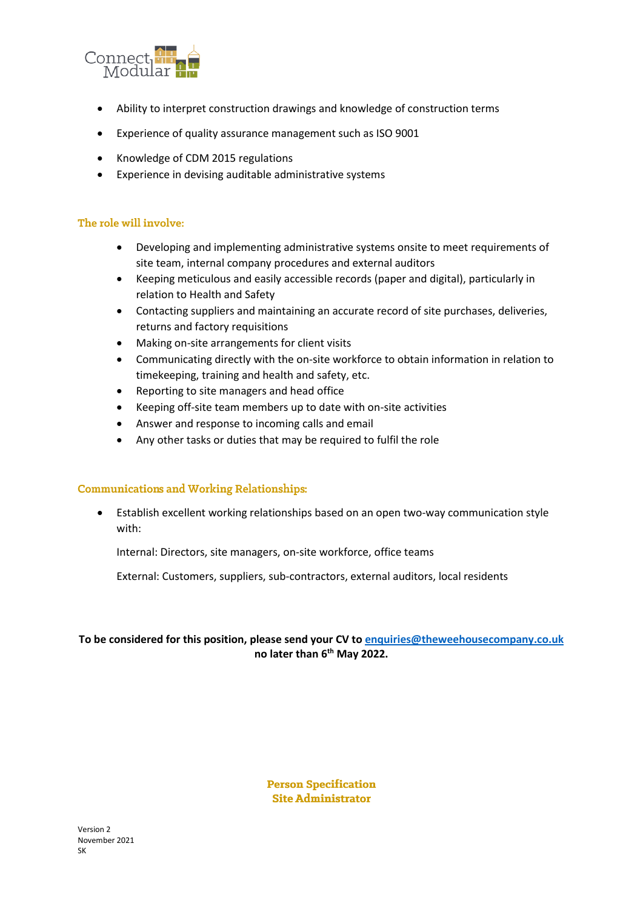

- Ability to interpret construction drawings and knowledge of construction terms
- Experience of quality assurance management such as ISO 9001
- Knowledge of CDM 2015 regulations
- Experience in devising auditable administrative systems

# The role will involve:

- Developing and implementing administrative systems onsite to meet requirements of site team, internal company procedures and external auditors
- Keeping meticulous and easily accessible records (paper and digital), particularly in relation to Health and Safety
- Contacting suppliers and maintaining an accurate record of site purchases, deliveries, returns and factory requisitions
- Making on-site arrangements for client visits
- Communicating directly with the on-site workforce to obtain information in relation to timekeeping, training and health and safety, etc.
- Reporting to site managers and head office
- Keeping off-site team members up to date with on-site activities
- Answer and response to incoming calls and email
- Any other tasks or duties that may be required to fulfil the role

#### **Communications and Working Relationships:**

• Establish excellent working relationships based on an open two-way communication style with:

Internal: Directors, site managers, on-site workforce, office teams

External: Customers, suppliers, sub-contractors, external auditors, local residents

# **To be considered for this position, please send your CV to [enquiries@theweehousecompany.co.uk](mailto:enquiries@theweehousecompany.co.uk) no later than 6th May 2022.**

**Person Specification Site Administrator**